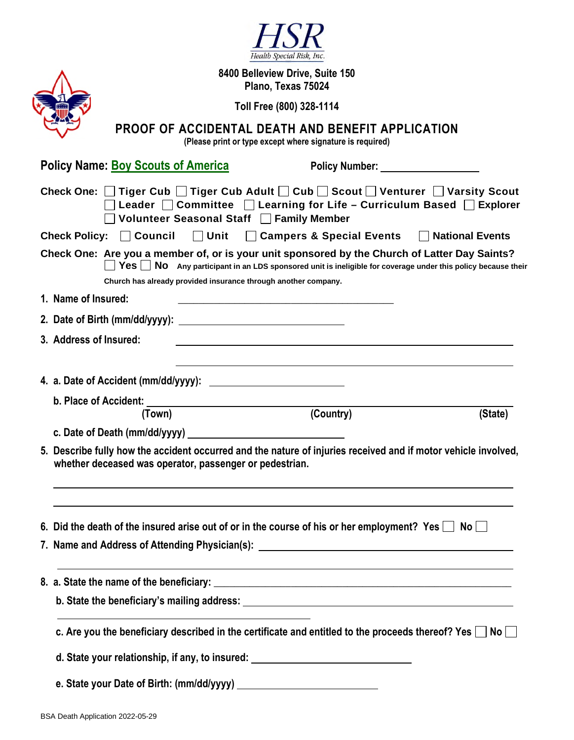|                                                                                                                                                                                                                             | Health Special Risk, Inc.                                                                                                                                                                                                                                                                                                     |  |  |
|-----------------------------------------------------------------------------------------------------------------------------------------------------------------------------------------------------------------------------|-------------------------------------------------------------------------------------------------------------------------------------------------------------------------------------------------------------------------------------------------------------------------------------------------------------------------------|--|--|
|                                                                                                                                                                                                                             | 8400 Belleview Drive, Suite 150                                                                                                                                                                                                                                                                                               |  |  |
| Plano, Texas 75024                                                                                                                                                                                                          |                                                                                                                                                                                                                                                                                                                               |  |  |
|                                                                                                                                                                                                                             | Toll Free (800) 328-1114                                                                                                                                                                                                                                                                                                      |  |  |
|                                                                                                                                                                                                                             | PROOF OF ACCIDENTAL DEATH AND BENEFIT APPLICATION<br>(Please print or type except where signature is required)                                                                                                                                                                                                                |  |  |
|                                                                                                                                                                                                                             | <b>Policy Name: Boy Scouts of America</b><br>Policy Number: New York 1997                                                                                                                                                                                                                                                     |  |  |
| Check One: □ Tiger Cub □ Tiger Cub Adult □ Cub □ Scout □ Venturer □ Varsity Scout<br>$\Box$ Leader $\Box$ Committee $\Box$ Learning for Life – Curriculum Based $\Box$ Explorer<br>Volunteer Seasonal Staff   Family Member |                                                                                                                                                                                                                                                                                                                               |  |  |
|                                                                                                                                                                                                                             | $\Box$ Unit<br>Check Policy: $\Box$ Council<br>□ Campers & Special Events □ National Events                                                                                                                                                                                                                                   |  |  |
|                                                                                                                                                                                                                             | Check One: Are you a member of, or is your unit sponsored by the Church of Latter Day Saints?<br>$\textsf{Yes} \ \blacksquare \ \textsf{No} \ \textsf{Any}$ participant in an LDS sponsored unit is ineligible for coverage under this policy because their<br>Church has already provided insurance through another company. |  |  |
|                                                                                                                                                                                                                             | 1. Name of Insured:                                                                                                                                                                                                                                                                                                           |  |  |
|                                                                                                                                                                                                                             |                                                                                                                                                                                                                                                                                                                               |  |  |
|                                                                                                                                                                                                                             | 3. Address of Insured:                                                                                                                                                                                                                                                                                                        |  |  |
|                                                                                                                                                                                                                             |                                                                                                                                                                                                                                                                                                                               |  |  |
|                                                                                                                                                                                                                             |                                                                                                                                                                                                                                                                                                                               |  |  |
|                                                                                                                                                                                                                             |                                                                                                                                                                                                                                                                                                                               |  |  |
|                                                                                                                                                                                                                             | (Country)<br>(State)<br>(Town)                                                                                                                                                                                                                                                                                                |  |  |
|                                                                                                                                                                                                                             | c. Date of Death (mm/dd/yyyy) ______________                                                                                                                                                                                                                                                                                  |  |  |
|                                                                                                                                                                                                                             | 5. Describe fully how the accident occurred and the nature of injuries received and if motor vehicle involved,<br>whether deceased was operator, passenger or pedestrian.                                                                                                                                                     |  |  |
|                                                                                                                                                                                                                             | 6. Did the death of the insured arise out of or in the course of his or her employment? Yes $\Box$ No $\Box$                                                                                                                                                                                                                  |  |  |
|                                                                                                                                                                                                                             | 7. Name and Address of Attending Physician(s): __________________________________                                                                                                                                                                                                                                             |  |  |
|                                                                                                                                                                                                                             |                                                                                                                                                                                                                                                                                                                               |  |  |
|                                                                                                                                                                                                                             |                                                                                                                                                                                                                                                                                                                               |  |  |
|                                                                                                                                                                                                                             | c. Are you the beneficiary described in the certificate and entitled to the proceeds thereof? Yes $\Box$ No                                                                                                                                                                                                                   |  |  |
|                                                                                                                                                                                                                             | d. State your relationship, if any, to insured: ________________________________                                                                                                                                                                                                                                              |  |  |
|                                                                                                                                                                                                                             |                                                                                                                                                                                                                                                                                                                               |  |  |